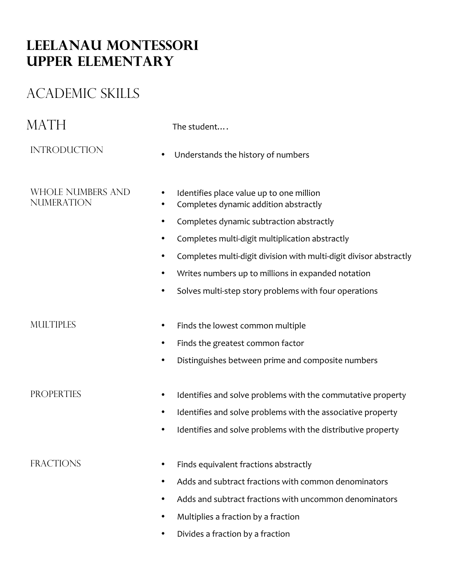## **Leelanau Montessori Upper elementary**

# ACADEMIC SKILLS

| MATH                                          | The student                                                                                         |
|-----------------------------------------------|-----------------------------------------------------------------------------------------------------|
| <b>INTRODUCTION</b>                           | Understands the history of numbers<br>٠                                                             |
| <b>WHOLE NUMBERS AND</b><br><b>NUMERATION</b> | Identifies place value up to one million<br>$\bullet$<br>Completes dynamic addition abstractly<br>٠ |
|                                               | Completes dynamic subtraction abstractly<br>٠                                                       |
|                                               | Completes multi-digit multiplication abstractly<br>٠                                                |
|                                               | Completes multi-digit division with multi-digit divisor abstractly<br>$\bullet$                     |
|                                               | Writes numbers up to millions in expanded notation<br>$\bullet$                                     |
|                                               | Solves multi-step story problems with four operations<br>$\bullet$                                  |
| <b>MULTIPLES</b>                              | Finds the lowest common multiple<br>٠                                                               |
|                                               | Finds the greatest common factor<br>$\bullet$                                                       |
|                                               | Distinguishes between prime and composite numbers<br>$\bullet$                                      |
| <b>PROPERTIES</b>                             | Identifies and solve problems with the commutative property<br>$\bullet$                            |
|                                               | Identifies and solve problems with the associative property<br>$\bullet$                            |
|                                               | Identifies and solve problems with the distributive property<br>٠                                   |
| <b>FRACTIONS</b>                              | Finds equivalent fractions abstractly                                                               |
|                                               | Adds and subtract fractions with common denominators<br>٠                                           |
|                                               | Adds and subtract fractions with uncommon denominators<br>٠                                         |
|                                               | Multiplies a fraction by a fraction<br>$\bullet$                                                    |
|                                               | Divides a fraction by a fraction<br>٠                                                               |
|                                               |                                                                                                     |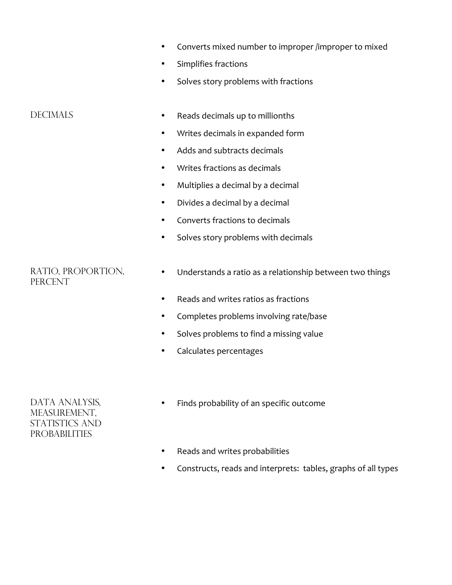- Converts mixed number to improper /improper to mixed
- Simplifies fractions
- Solves story problems with fractions

- DECIMALS Reads decimals up to millionths
	- Writes decimals in expanded form
	- Adds and subtracts decimals
	- Writes fractions as decimals
	- Multiplies a decimal by a decimal
	- Divides a decimal by a decimal
	- Converts fractions to decimals
	- Solves story problems with decimals

### Ratio, proportion, **PERCENT**

- Understands a ratio as a relationship between two things
- Reads and writes ratios as fractions
- Completes problems involving rate/base
- Solves problems to find a missing value
- Calculates percentages

### DATA ANALYSIS, MEASUREMENT. STATISTICS AND probabilities

- Finds probability of an specific outcome
- Reads and writes probabilities
- Constructs, reads and interprets: tables, graphs of all types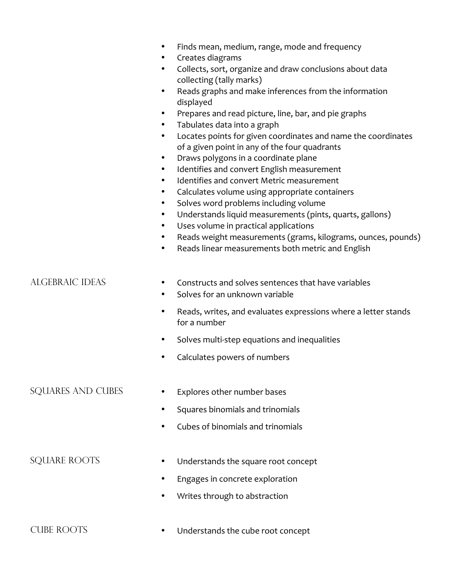|                     | Finds mean, medium, range, mode and frequency<br>Creates diagrams<br>$\bullet$<br>Collects, sort, organize and draw conclusions about data<br>$\bullet$<br>collecting (tally marks)<br>Reads graphs and make inferences from the information<br>$\bullet$<br>displayed<br>Prepares and read picture, line, bar, and pie graphs<br>٠<br>Tabulates data into a graph<br>$\bullet$<br>Locates points for given coordinates and name the coordinates<br>$\bullet$<br>of a given point in any of the four quadrants<br>Draws polygons in a coordinate plane<br>$\bullet$<br>Identifies and convert English measurement<br>$\bullet$<br>Identifies and convert Metric measurement<br>$\bullet$<br>Calculates volume using appropriate containers<br>$\bullet$<br>Solves word problems including volume<br>$\bullet$<br>Understands liquid measurements (pints, quarts, gallons)<br>$\bullet$<br>Uses volume in practical applications<br>$\bullet$<br>Reads weight measurements (grams, kilograms, ounces, pounds)<br>٠<br>Reads linear measurements both metric and English<br>$\bullet$ |
|---------------------|-------------------------------------------------------------------------------------------------------------------------------------------------------------------------------------------------------------------------------------------------------------------------------------------------------------------------------------------------------------------------------------------------------------------------------------------------------------------------------------------------------------------------------------------------------------------------------------------------------------------------------------------------------------------------------------------------------------------------------------------------------------------------------------------------------------------------------------------------------------------------------------------------------------------------------------------------------------------------------------------------------------------------------------------------------------------------------------|
| ALGEBRAIC IDEAS     | Constructs and solves sentences that have variables<br>٠<br>Solves for an unknown variable<br>$\bullet$                                                                                                                                                                                                                                                                                                                                                                                                                                                                                                                                                                                                                                                                                                                                                                                                                                                                                                                                                                             |
|                     | Reads, writes, and evaluates expressions where a letter stands<br>$\bullet$<br>for a number                                                                                                                                                                                                                                                                                                                                                                                                                                                                                                                                                                                                                                                                                                                                                                                                                                                                                                                                                                                         |
|                     | Solves multi-step equations and inequalities<br>$\bullet$                                                                                                                                                                                                                                                                                                                                                                                                                                                                                                                                                                                                                                                                                                                                                                                                                                                                                                                                                                                                                           |
|                     | Calculates powers of numbers                                                                                                                                                                                                                                                                                                                                                                                                                                                                                                                                                                                                                                                                                                                                                                                                                                                                                                                                                                                                                                                        |
| SQUARES AND CUBES   | Explores other number bases                                                                                                                                                                                                                                                                                                                                                                                                                                                                                                                                                                                                                                                                                                                                                                                                                                                                                                                                                                                                                                                         |
|                     | Squares binomials and trinomials                                                                                                                                                                                                                                                                                                                                                                                                                                                                                                                                                                                                                                                                                                                                                                                                                                                                                                                                                                                                                                                    |
|                     | Cubes of binomials and trinomials                                                                                                                                                                                                                                                                                                                                                                                                                                                                                                                                                                                                                                                                                                                                                                                                                                                                                                                                                                                                                                                   |
| <b>SQUARE ROOTS</b> | Understands the square root concept                                                                                                                                                                                                                                                                                                                                                                                                                                                                                                                                                                                                                                                                                                                                                                                                                                                                                                                                                                                                                                                 |
|                     | Engages in concrete exploration                                                                                                                                                                                                                                                                                                                                                                                                                                                                                                                                                                                                                                                                                                                                                                                                                                                                                                                                                                                                                                                     |
|                     | Writes through to abstraction                                                                                                                                                                                                                                                                                                                                                                                                                                                                                                                                                                                                                                                                                                                                                                                                                                                                                                                                                                                                                                                       |
| <b>CUBE ROOTS</b>   | Understands the cube root concept                                                                                                                                                                                                                                                                                                                                                                                                                                                                                                                                                                                                                                                                                                                                                                                                                                                                                                                                                                                                                                                   |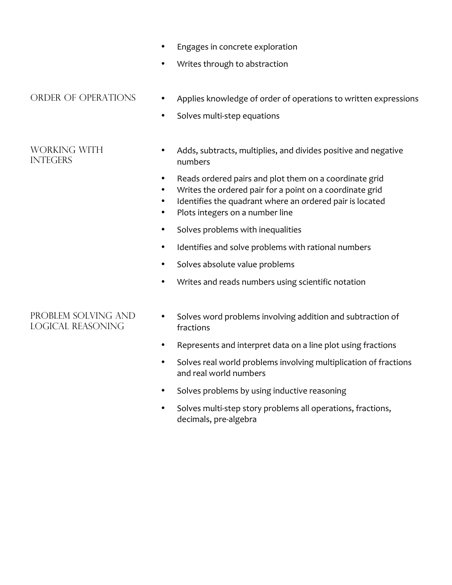- Engages in concrete exploration
- Writes through to abstraction

### Working with **INTEGERS**

- ORDER OF OPERATIONS Applies knowledge of order of operations to written expressions
	- Solves multi-step equations
	- Adds, subtracts, multiplies, and divides positive and negative numbers
	- Reads ordered pairs and plot them on a coordinate grid
	- Writes the ordered pair for a point on a coordinate grid
	- Identifies the quadrant where an ordered pair is located
	- Plots integers on a number line
	- Solves problems with inequalities
	- Identifies and solve problems with rational numbers
	- Solves absolute value problems
	- Writes and reads numbers using scientific notation

### Problem Solving and logical reasoning

- Solves word problems involving addition and subtraction of fractions
- Represents and interpret data on a line plot using fractions
- Solves real world problems involving multiplication of fractions and real world numbers
- Solves problems by using inductive reasoning
- Solves multi-step story problems all operations, fractions, decimals, pre-algebra